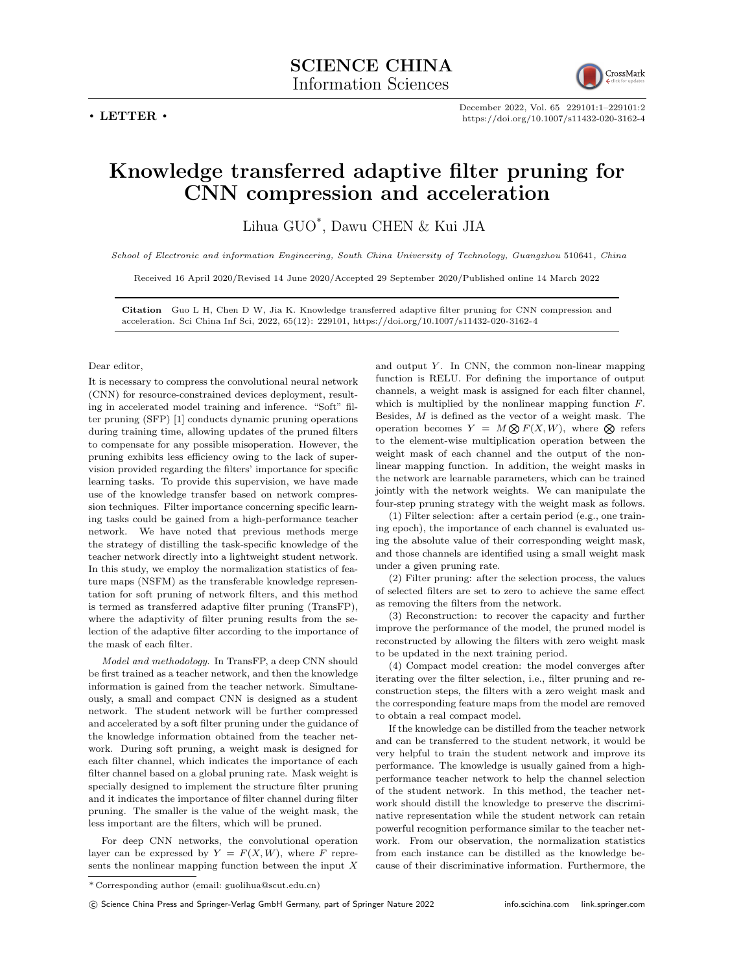**. LETTER .**



December 2022, Vol. 65 229101:1–229101:2 https://doi.org/10.1007/s11432-020-3162-4

## **Knowledge transferred adaptive filter pruning for CNN compression and acceleration**

Lihua GUO\* , Dawu CHEN & Kui JIA

*School of Electronic and information Engineering, South China University of Technology, Guangzhou* 510641*, China*

Received 16 April 2020/Revised 14 June 2020/Accepted 29 September 2020/Published online 14 March 2022

**Citation** Guo L H, Chen D W, Jia K. Knowledge transferred adaptive filter pruning for CNN compression and acceleration. Sci China Inf Sci, 2022, 65(12): 229101, https://doi.org/10.1007/s11432-020-3162-4

## Dear editor,

It is necessary to compress the convolutional neural network (CNN) for resource-constrained devices deployment, resulting in accelerated model training and inference. "Soft" filter pruning (SFP) [1] conducts dynamic pruning operations during training time, allowing updates of the pruned filters to compensate for any possible misoperation. However, the pruning exhibits less efficiency owing to the lack of supervision provided regarding the filters' importance for specific learning tasks. To provide this supervision, we have made use of the knowledge transfer based on network compression techniques. Filter importance concerning specific learning tasks could be gained from a high-performance teacher network. We have noted that previous methods merge the strategy of distilling the task-specific knowledge of the teacher network directly into a lightweight student network. In this study, we employ the normalization statistics of feature maps (NSFM) as the transferable knowledge representation for soft pruning of network filters, and this method is termed as transferred adaptive filter pruning (TransFP), where the adaptivity of filter pruning results from the selection of the adaptive filter according to the importance of the mask of each filter.

*Model and methodology*. In TransFP, a deep CNN should be first trained as a teacher network, and then the knowledge information is gained from the teacher network. Simultaneously, a small and compact CNN is designed as a student network. The student network will be further compressed and accelerated by a soft filter pruning under the guidance of the knowledge information obtained from the teacher network. During soft pruning, a weight mask is designed for each filter channel, which indicates the importance of each filter channel based on a global pruning rate. Mask weight is specially designed to implement the structure filter pruning and it indicates the importance of filter channel during filter pruning. The smaller is the value of the weight mask, the less important are the filters, which will be pruned.

For deep CNN networks, the convolutional operation layer can be expressed by  $Y = F(X, W)$ , where *F* represents the nonlinear mapping function between the input *X* and output *Y* . In CNN, the common non-linear mapping function is RELU. For defining the importance of output channels, a weight mask is assigned for each filter channel, which is multiplied by the nonlinear mapping function *F*. Besides, *M* is defined as the vector of a weight mask. The operation becomes  $Y = M \otimes F(X, W)$ , where  $\otimes$  refers to the element-wise multiplication operation between the weight mask of each channel and the output of the nonlinear mapping function. In addition, the weight masks in the network are learnable parameters, which can be trained jointly with the network weights. We can manipulate the four-step pruning strategy with the weight mask as follows.

(1) Filter selection: after a certain period (e.g., one training epoch), the importance of each channel is evaluated using the absolute value of their corresponding weight mask, and those channels are identified using a small weight mask under a given pruning rate.

(2) Filter pruning: after the selection process, the values of selected filters are set to zero to achieve the same effect as removing the filters from the network.

(3) Reconstruction: to recover the capacity and further improve the performance of the model, the pruned model is reconstructed by allowing the filters with zero weight mask to be updated in the next training period.

(4) Compact model creation: the model converges after iterating over the filter selection, i.e., filter pruning and reconstruction steps, the filters with a zero weight mask and the corresponding feature maps from the model are removed to obtain a real compact model.

If the knowledge can be distilled from the teacher network and can be transferred to the student network, it would be very helpful to train the student network and improve its performance. The knowledge is usually gained from a highperformance teacher network to help the channel selection of the student network. In this method, the teacher network should distill the knowledge to preserve the discriminative representation while the student network can retain powerful recognition performance similar to the teacher network. From our observation, the normalization statistics from each instance can be distilled as the knowledge because of their discriminative information. Furthermore, the

<sup>\*</sup> Corresponding author (email: guolihua@scut.edu.cn)

*<sup>⃝</sup>*c Science China Press and Springer-Verlag GmbH Germany, part of Springer Nature 2022 info.scichina.com link.springer.com